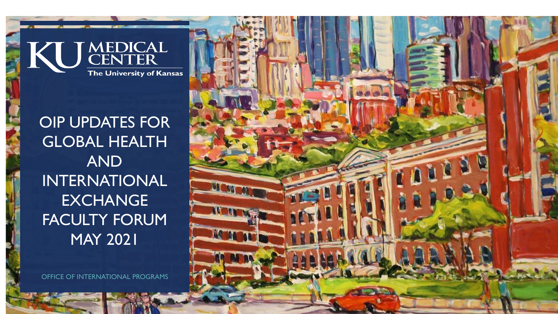

# OIP UPDATES FOR GLOBAL HEALTH AND INTERNATIONAL EXCHANGE FACULTY FORUM MAY 2021

OFFICE OF INTERNATIONAL PROGRAMS

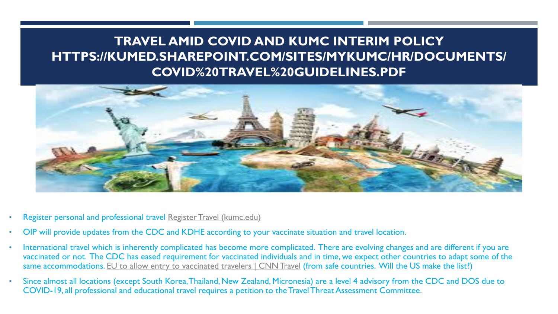#### **TRAVEL AMID COVID AND KUMC INTERIM POLICY HTTPS://KUMED.SHAREPOINT.COM/SITES/MYKUMC/HR/DOCUMENTS/ COVID%20TRAVEL%20GUIDELINES.PDF**



- Register personal and professional travel [Register Travel \(kumc.edu\)](https://www.kumc.edu/office-of-international-programs/register-travel.html)
- OIP will provide updates from the CDC and KDHE according to your vaccinate situation and travel location.
- International travel which is inherently complicated has become more complicated. There are evolving changes and are different if you are vaccinated or not. The CDC has eased requirement for vaccinated individuals and in time, we expect other countries to adapt some of the same accommodations. [EU to allow entry to vaccinated travelers | CNN Travel](https://www.cnn.com/travel/article/eu-to-allow-entry-to-vaccinated-travelers/index.html?utm_term=16215063303403646ff800a99&utm_source=cnn_Five+Things+for+Thursday%2C+May+20%2C+2021&utm_medium=email&bt_ee=%2Fk6suZQ8Q%2BdyujLkZD2RozSz%2BOrFqNdCRy2EN3FraryglCt0lr8c7wskXfQ8jh53&bt_ts=1621506330341) (from safe countries. Will the US make the list?)
- Since almost all locations (except South Korea, Thailand, New Zealand, Micronesia) are a level 4 advisory from the CDC and DOS due to COVID-19, all professional and educational travel requires a petition to the Travel Threat Assessment Committee.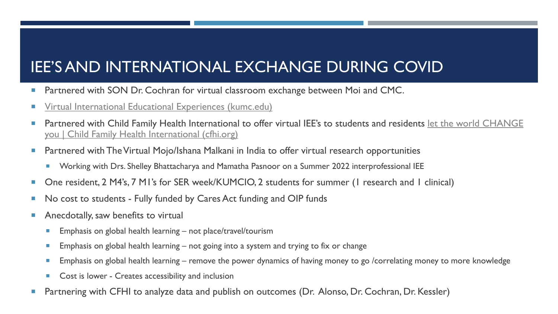## IEE'S AND INTERNATIONAL EXCHANGE DURING COVID

- **Partnered with SON Dr. Cochran for virtual classroom exchange between Moi and CMC.**
- **The [Virtual International Educational Experiences \(kumc.edu\)](https://www.kumc.edu/office-of-international-programs/outbound-programs/virtual-international-educational-experiences.html)**
- **[Partnered with Child Family Health International to offer virtual IEE's to students and residents let the world CHANGE](https://www.cfhi.org/)** you | Child Family Health International (cfhi.org)
- **Partnered with The Virtual Mojo/Ishana Malkani in India to offer virtual research opportunities** 
	- Working with Drs. Shelley Bhattacharya and Mamatha Pasnoor on a Summer 2022 interprofessional IEE
- One resident, 2 M4's, 7 M1's for SER week/KUMCIO, 2 students for summer (1 research and 1 clinical)
- No cost to students Fully funded by Cares Act funding and OIP funds
- **Anecdotally, saw benefits to virtual** 
	- **Emphasis on global health learning not place/travel/tourism**
	- **Emphasis on global health learning not going into a system and trying to fix or change**
	- **Emphasis on global health learning remove the power dynamics of having money to go /correlating money to more knowledge**
	- Cost is lower Creates accessibility and inclusion
- **Partnering with CFHI to analyze data and publish on outcomes (Dr. Alonso, Dr. Cochran, Dr. Kessler)**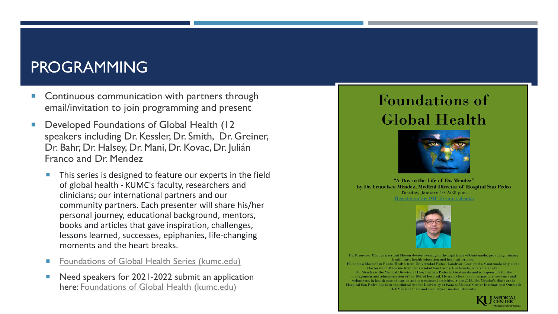### PROGRAMMING

- **Continuous communication with partners through** email/invitation to join programming and present
- Developed Foundations of Global Health (12 speakers including Dr. Kessler, Dr. Smith, Dr. Greiner, Dr. Bahr, Dr. Halsey, Dr. Mani, Dr. Kovac, Dr. Julián Franco and Dr. Mendez
	- This series is designed to feature our experts in the field of global health - KUMC's faculty, researchers and clinicians; our international partners and our community partners. Each presenter will share his/her personal journey, educational background, mentors, books and articles that gave inspiration, challenges, lessons learned, successes, epiphanies, life-changing moments and the heart breaks.
	- [Foundations of Global Health Series \(kumc.edu\)](https://www.kumc.edu/office-of-international-programs/events-and-programming/foundations-of-global-health-series.html)
	- Need speakers for 2021-2022 submit an application here: [Foundations of Global Health \(kumc.edu\)](https://redcap.kumc.edu/surveys/?s=9A43NNW3RW)

## **Foundations of Global Health**



"A Day in the Life of Dr. Méndez" by Dr. Francisco Méndez, Medical Director of Hospital San Pedro Tuesday, January 19 5:30 p.m. Register on the OIP Events Calendar



Dr. Francisco Méndez is a rural Mayan doctor working in the high lands of Guatemala, providing primary health care, health education and hospital services. He holds a Master's in Public Health from Universidad Rafael Landivar, Guatemala, Guatemala City and a Doctorate in Medicine from Universidad San Carlos, Guatemala, Guatemala City. Dr. Méndez is the Medical Director at Hospital San Pedro in Guatemala and is responsible for the management and administration of the 10-bed hospital. He trains local and international students and volunteers, in health care education and intercultural activities. Since 2018, Dr. Méndez's clinic at the Hospital San Pedro has been the clinical site for University of Kansas Medical Center International Outreach (KUMCIO)'s first- and second-year medical students.